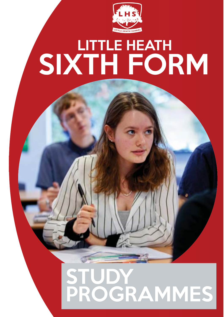

## LITTLE HEATH SIXTH FORM

### STUDY PROGRAMMES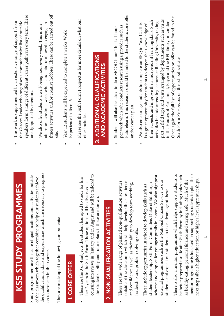| KS5 STUDY PROGRAMMES                                                                                                                                                                                                                                                                                  | This work is supplemented by an extensive range of support from<br>the Careers Leader who organises a comprehensive list of outside                                                                                                                                                    |
|-------------------------------------------------------------------------------------------------------------------------------------------------------------------------------------------------------------------------------------------------------------------------------------------------------|----------------------------------------------------------------------------------------------------------------------------------------------------------------------------------------------------------------------------------------------------------------------------------------|
| Study programmers are the suite of qualifications and activities outside                                                                                                                                                                                                                              | speakers form a range of different career pathways every term. These<br>are signposted by mentors.                                                                                                                                                                                     |
| the qualifications, skills and experiences which are necessary to progress<br>of the classroom which together combine to help our students achieve<br>on to next step in their career.                                                                                                                | fitness activities and/or creative hobbies. These can be carried out off<br>afternoon session a week when students are allowed to engage in<br>We also offer students a well-being hour every week. This is one                                                                        |
| They are made up of the following components:-                                                                                                                                                                                                                                                        | site.                                                                                                                                                                                                                                                                                  |
| 1. CORE OFFER                                                                                                                                                                                                                                                                                         | Year 12 students will be expected to complete a week's Work<br>Experience in Term 6                                                                                                                                                                                                    |
| These are the 3 or 4 subjects the student has opted to study for his/<br>her 2 years in the Sixth Form. These options will be discussed at                                                                                                                                                            | Please see the Sixth Form Prospectus for more details on what our<br>offer includes.<br>$\bullet$                                                                                                                                                                                      |
| coursing interviews in January and in August and will be tailored to<br>the student's ability and future plans if these are known.                                                                                                                                                                    | 3. ADDITIONAL QUALIFICATIONS<br><b>AND ACADEMIC ACTIVITIES</b>                                                                                                                                                                                                                         |
| 2. NON QUALIFICATION ACTIVITIES                                                                                                                                                                                                                                                                       |                                                                                                                                                                                                                                                                                        |
|                                                                                                                                                                                                                                                                                                       | Students will also be asked to do a MOOC hour. This is 1 hour<br>$\bullet$                                                                                                                                                                                                             |
| These are the wide range of planned non-qualification activities<br>outside of the classroom which will help develop their resilience<br>and confidence as well as their ability to develop team working,<br>leadership and problem solving skills.                                                   | Futurelearn. This research should be linked to the student's core offer<br>per week when s/he conducts research using a provider such as<br>and/or career plan.                                                                                                                        |
|                                                                                                                                                                                                                                                                                                       | We also encourage students to complete an EPQ in Year 12 .This                                                                                                                                                                                                                         |
| scheme and support for younger pupils in lessons. We also signpost<br>external programmes such as the National Citizen Service to our<br>student leadership, Sixth Form Committee, Duke of Edinburgh<br>These include opportunities in school to develop skills such as                               | part in field trips and visits arranged by departments such as visits<br>their subjects and improve their independent learning skills. Such<br>activities include attending lectures at Reading University, taking<br>is a great opportunity for students to deepen their knowledge of |
| students and expect our students to take advantage of these.                                                                                                                                                                                                                                          | to the Houses of Parliament, Bayer and the BFI library in London.                                                                                                                                                                                                                      |
| $\overline{c}$<br>mentor programme is focussed on supporting students to plan their<br>be better prepared for life after Sixth Form by including topics such<br>There is also a mentor programme which helps supports students t<br>as healthy eating, personal finance and staying safe. Much of the | Once again the full list of opportunities on offer can be found in the<br>Sixth Form Prospectus on the school website.                                                                                                                                                                 |

 $\bullet$ 

mentor programme is focussed on supporting students to plan their next steps albeit higher education or higher level apprenticeships.

next steps albeit higher education or higher level apprenticeships.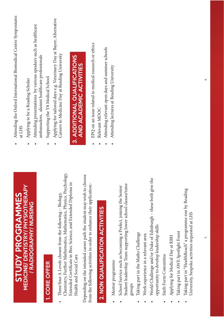### 1. CORE OFFER 1. CORE OFFER

Chemistry, Further Mathematics, Mathematics, Physics, Psychology, Chemistry, Further Mathematics, Mathematics, Physics, Psychology, Extended Certificate in Btec Science, and Extended Diploma in Extended Certificate in Btec Science, and Extended Diploma in • Three/four A Levels chosen from the following :- Biology, Three/four A Levels chosen from the following :- Biology, Health and Social Care Health and Social Care

Depending on the intended career path the student may wish to choose Depending on the intended career path the student may wish to choose from the following activities in order to enhance their application: from the following activities in order to enhance their application:-

# 2. NON QUALIFICATION ACTIVITIES 2. NON QUALIFICATION ACTIVITIES

- Mentor programme • Mentor programme
- Student leadership Team supporting lower school classes/tutor Student leadership Team supporting lower school classes/tutor • School Service such as becoming a Prefect, joining the Senior School Service such as becoming a Prefect, joining the Senior groups
- Taking part in the Maths Challenge • Taking part in the Maths Challenge
- Work experience in a relevant area • Work experience in a relevant area
- World Challenge and/or Duke of Edinburgh these both give the • World Challenge and/or Duke of Edinburgh – these both give the opportunity to develop leadership skills opportunity to develop leadership skills
- Sixth Form Committee • Sixth Form Committee
- Applying for Medical Day at RBH • Applying for Medical Day at RBH
- Taking part in AWE Spotlight Event • Taking part in AWE Spotlight Event
- Taking part in "HealthReach" a programme run by Reading • Taking part in "HealthReach" a programme run by Reading University, bespoke activities requested at LHS University, bespoke activities requested at LHS
- Attending the Oxford International Biomedical Centre Symposiums Attending the Oxford International Biomedical Centre Symposiums at LHS
- Applying to be a Reading Scholar Applying to be a Reading Scholar
- Attending presentations by various speakers such as healthcare Attending presentations by various speakers such as healthcare ambassadors, alumni healthcare professionals ambassadors, alumni healthcare professionals
- Supporting the Y8 Medical School • Supporting the Y8 Medical School
- Applying for tailored days e.g. Veterinary Day at Bayer, Alternative • Applying for tailored days e.g. Veterinary Day at Bayer, Alternative Careers to Medicine Day at Reading University Careers to Medicine Day at Reading University

# 3. ADDITIONAL QUALIFICATIONS 3. ADDITIONAL QUALIFICATIONS AND ACADEMIC ACTIVITIES AND ACADEMIC ACTIVITIES

- EPQ on an issue related to medical research or ethics  $\bullet$  EPQ on an issue related to medical research or ethics
- Relevant MOOC Relevant MOOC
- Attending relevant open days and summer schools • Attending relevant open days and summer schools
- Attending lectures at Reading UniversityAttending lectures at Reading University

4.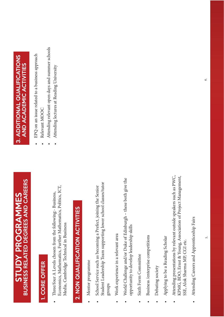# **BUSINESS RELATED DEGREES AND CAREERS** BUSINESS RELATED DEGREES AND CAREERS **STUDY PROGRAMMES** STUDY PROGRAMMES

### 1. CORE OFFER 1. CORE OFFER

Economics, Mathematics, Further Mathematics, Politics, ICT, Economics, Mathematics, Further Mathematics, Politics, ICT, Three/four A Levels chosen from the following:- Business, • Three/four A Levels chosen from the following:- Business, Media, Cambridge Technical in Business Media, Cambridge Technical in Business

# 2. NON QUALIFICATION ACTIVITIES 2. NON QUALIFICATION ACTIVITIES

- Mentor programme • Mentor programme
- Student Leadership Team supporting lower school classes/tutor Student Leadership Team supporting lower school classes/tutor • School Service such as becoming a Prefect, joining the Senior School Service such as becoming a Prefect, joining the Senior groups
- Work experience in a relevant area • Work experience in a relevant area
- World Challenge and/or Duke of Edinburgh these both give the World Challenge and/or Duke of Edinburgh - these both give the opportunity to develop leadership skills opportunity to develop leadership skills
- Sixth Form Committee • Sixth Form Committee
- Business / enterprise competitions • Business /enterprise competitions
- Debating society Debating society
- Applying to be a Reading Scholar Applying to be a Reading Scholar
- Attending presentations by relevant outside speakers such as PWC, • Attending presentations by relevant outside speakers such as PWC, KPMG, BDO, Ernst & Young, Association of Project Management, KPMG, BDO, Ernst & Young, Association of Project Management, SSE, Alok Sharma MP, CGI etc. SSE, Alok Sharma MP, CGI etc.
- Attending Careers and Apprenticeship Fairs • Attending Careers and Apprenticeship Fairs  $\bullet$

# 3. ADDITIONAL QUALIFICATIONS 3. ADDITIONAL QUALIFICATIONS<br>AND ACADEMIC ACTIVITIES AND ACADEMIC ACTIVITIES

- EPQ on an issue related to a business approach  $\bullet$  EPQ on an issue related to a business approach
- Relevant MOOC • Relevant MOOC
- Attending relevant open days and summer schools • Attending relevant open days and summer schools
- Attending lectures at Reading UniversityAttending lectures at Reading University

6.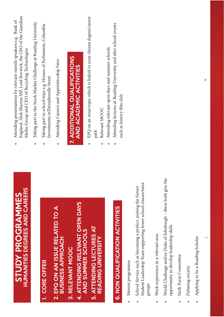|           | <b>STUDY PROGRAMMES</b><br>HUMANITIES DEGREES AND CAREERS                                                                                | England, Alok Sharma MP, Lord Borwick, the CEO of the Guardian<br>Attending presentations by relevant outside speakers e.g. Bank of<br>Media Group and CEO of Recycling Technologies |
|-----------|------------------------------------------------------------------------------------------------------------------------------------------|--------------------------------------------------------------------------------------------------------------------------------------------------------------------------------------|
|           |                                                                                                                                          | Taking part in the Stock Market Challenge at Reading University                                                                                                                      |
|           | 1. CORE OFFER                                                                                                                            | Taking part in school trips e.g. Houses of Parliament, Columbia<br>Investments inThreadneedle Street                                                                                 |
|           | 2. EPQ ON AN ISSUE RELATED TO A<br><b>BUSINESS APPROACH</b>                                                                              | Attending Careers and Apprenticeship Fairs<br>$\bullet$                                                                                                                              |
|           | 4. ATTENDING RELEVANT OPEN DAYS<br>3. RELEVANT MOOC                                                                                      | 7. ADDITIONAL QUALIFICATIONS<br><b>AND ACADEMIC ACTIVITIES</b>                                                                                                                       |
|           | AND SUMMER SCHOOLS                                                                                                                       |                                                                                                                                                                                      |
|           | 5. ATTENDING LECTURES AT<br>READING UNIVERSITY                                                                                           | EPQ on an issue/topic which is linked to your chosen degree/career<br>Relevant MOOC<br>path                                                                                          |
|           |                                                                                                                                          | Attending relevant open days and summer schools                                                                                                                                      |
|           | 6. NON QUALIFICATION ACTIVITIES                                                                                                          | Attending lectures at Reading University and after school events<br>such as history film club                                                                                        |
|           | Mentor programme                                                                                                                         |                                                                                                                                                                                      |
|           | Student Leadership Team supporting lower school classes/tutor<br>School Service such as becoming a prefect, joining the Senior<br>groups |                                                                                                                                                                                      |
| $\bullet$ | Work experience in a relevant area                                                                                                       |                                                                                                                                                                                      |
|           | the<br>World Challenge and/or Duke of Edinburgh - these both give<br>opportunity to develop leadership skills                            |                                                                                                                                                                                      |
|           | Sixth Form Committee                                                                                                                     |                                                                                                                                                                                      |
|           | Debating society                                                                                                                         |                                                                                                                                                                                      |

7.

• Applying to be a Reading Scholar

• Applying to be a Reading Scholar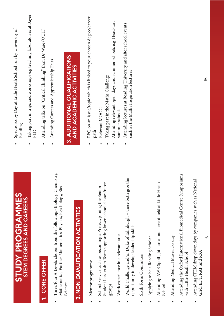| <b>STUDY PROGRAMMES</b>                                                                                                                            | Spectroscopy Day at Little Heath School run by University of<br>Reading                                                              |
|----------------------------------------------------------------------------------------------------------------------------------------------------|--------------------------------------------------------------------------------------------------------------------------------------|
| STEM DEGREES AND CAREERS                                                                                                                           | Taking part in trips and workshops e.g teaching laboratories at Bayer<br>PLC                                                         |
| <b>CORE OFFER</b><br>÷,                                                                                                                            | Attending talks on "Critical Thinking" from Dr Ware (OUH)<br>$\bullet$                                                               |
| istry,<br>Three/four A Levels chosen from the following:- Biology, Chemi<br>Mathematics, Further Mathematics, Physics, Psychology, Btec<br>Science | 3. ADDITIONAL QUALIFICATIONS<br>Attending Careers and Apprenticeship Fairs<br>$\bullet$                                              |
| 2. NON QUALIFICATION ACTIVITIES                                                                                                                    | <b>AND ACADEMIC ACTIVITIES</b>                                                                                                       |
| Mentor programme                                                                                                                                   | EPQ on an issue/topic which is linked to your chosen degree/career<br>path                                                           |
| Student Leadership Team supporting lower school classes/tutor<br>School Service such as becoming a Prefect, joining the Senior<br>sdno.f           | Headstart<br>Attending relevant open days and summer schools e.g<br>Taking part in the Maths Challenge<br>Relevant MOOC<br>$\bullet$ |
| Work experience in a relevant area                                                                                                                 | summer schools                                                                                                                       |
| World Challenge and/or Duke of Edinburgh - these both give the<br>opportunity to develop leadership skills                                         | Attending lectures at Reading University and after school events<br>such as the Maths Inspiration lectures                           |
| Sixth Form Committee                                                                                                                               |                                                                                                                                      |
| Applying to be a Reading Scholar                                                                                                                   |                                                                                                                                      |
| Attending AWE Spotlight - an annual event held at Little Heath<br>School                                                                           |                                                                                                                                      |
| Attending Medical Mavericks day                                                                                                                    |                                                                                                                                      |
| Attending the Oxford International Biomedical Centre Symposiums<br>with Little Heath School                                                        |                                                                                                                                      |
| Attending STEM drop down days by companies such as National<br>Grid, EDT, RAF and RSA                                                              |                                                                                                                                      |

10.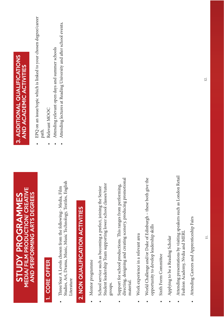#### MEDIA/ FILM PRODUCTION/ CREATIVE **MEDIA/ FILM PRODUCTION/ CREATIVE** STUDY PROGRAMMES AND PERFORMING ARTS DEGREES AND PERFORMING ARTS DEGREES **STUDY PROGRAMMES**

## 1. CORE OFFER 1. CORE OFFER

Studies, Art, Drama, Music, Music Technology, Textiles, English Studies, Art, Drama, Music, Music Technology, Textiles, English Three/four A Levels chosen from the following:- Media, Film • Three/four A Levels chosen from the following:- Media, Film Literature Literature

# 2. NON QUALIFICATION ACTIVITIES 2. NON QUALIFICATION ACTIVITIES

- Mentor programme • Mentor programme
- Student leadership Team supporting lower school classes/tutor Student leadership Team supporting lower school classes/tutor • School service such as becoming a prefect, joining the Senior School service such as becoming a prefect, joining the Senior groups.
- directing, designing and creating scenery, producing promotional directing, designing and creating scenery, producing promotional • Support for school productions. This ranges from performing, Support for school productions. This ranges from performing, material.
- Work experience in a relevant area • Work experience in a relevant area
- World Challenge and/or Duke of Edinburgh these both give the World Challenge and/or Duke of Edinburgh - these both give the opportunity to develop leadership skills opportunity to develop leadership skills
- Sixth Form Committee • Sixth Form Committee
- Applying to be a Reading Scholar • Applying to be a Reading Scholar
- Attending presentations by visiting speakers such as London Retail Attending presentations by visiting speakers such as London Retail Fashion Academy, Nvdia and MERL Fashion Academy, Nvdia and MERL
- Attending Careers and Apprenticeship Fairs Attending Careers and Apprenticeship Fairs  $\bullet$

# 3. ADDITIONAL QUALIFICATIONS 3. ADDITIONAL QUALIFICATIONS **AND ACADEMIC ACTIVITIES** AND ACADEMIC ACTIVITIES

- EPQ on an issue/topic which is linked to your chosen degree/career EPQ on an issue/topic which is linked to your chosen degree/career path.
	- Relevant MOOC • Relevant MOOC
- Attending relevant open days and summer schools Attending relevant open days and summer schools
- Attending lectures at Reading University and after school events. • Attending lectures at Reading University and after school events.